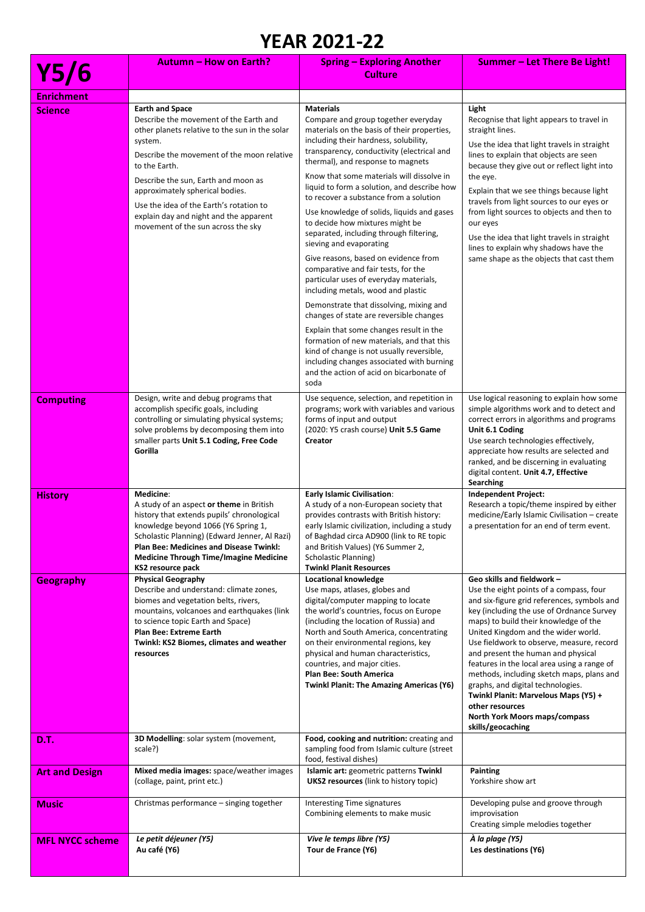## **YEAR 2021-22**

| Y5/6                   | <b>Autumn - How on Earth?</b>                                                                                                                                                                                                                                                                                                                                                                     | <b>Spring - Exploring Another</b><br><b>Culture</b>                                                                                                                                                                                                                                                                                                                                                                                                                                                                                                                                                                                                                                                                                                                                                                                                                                                                                                                                                                | <b>Summer - Let There Be Light!</b>                                                                                                                                                                                                                                                                                                                                                                                                                                                                                                                                                    |
|------------------------|---------------------------------------------------------------------------------------------------------------------------------------------------------------------------------------------------------------------------------------------------------------------------------------------------------------------------------------------------------------------------------------------------|--------------------------------------------------------------------------------------------------------------------------------------------------------------------------------------------------------------------------------------------------------------------------------------------------------------------------------------------------------------------------------------------------------------------------------------------------------------------------------------------------------------------------------------------------------------------------------------------------------------------------------------------------------------------------------------------------------------------------------------------------------------------------------------------------------------------------------------------------------------------------------------------------------------------------------------------------------------------------------------------------------------------|----------------------------------------------------------------------------------------------------------------------------------------------------------------------------------------------------------------------------------------------------------------------------------------------------------------------------------------------------------------------------------------------------------------------------------------------------------------------------------------------------------------------------------------------------------------------------------------|
| <b>Enrichment</b>      |                                                                                                                                                                                                                                                                                                                                                                                                   |                                                                                                                                                                                                                                                                                                                                                                                                                                                                                                                                                                                                                                                                                                                                                                                                                                                                                                                                                                                                                    |                                                                                                                                                                                                                                                                                                                                                                                                                                                                                                                                                                                        |
| <b>Science</b>         | <b>Earth and Space</b><br>Describe the movement of the Earth and<br>other planets relative to the sun in the solar<br>system.<br>Describe the movement of the moon relative<br>to the Earth.<br>Describe the sun, Earth and moon as<br>approximately spherical bodies.<br>Use the idea of the Earth's rotation to<br>explain day and night and the apparent<br>movement of the sun across the sky | <b>Materials</b><br>Compare and group together everyday<br>materials on the basis of their properties,<br>including their hardness, solubility,<br>transparency, conductivity (electrical and<br>thermal), and response to magnets<br>Know that some materials will dissolve in<br>liquid to form a solution, and describe how<br>to recover a substance from a solution<br>Use knowledge of solids, liquids and gases<br>to decide how mixtures might be<br>separated, including through filtering,<br>sieving and evaporating<br>Give reasons, based on evidence from<br>comparative and fair tests, for the<br>particular uses of everyday materials,<br>including metals, wood and plastic<br>Demonstrate that dissolving, mixing and<br>changes of state are reversible changes<br>Explain that some changes result in the<br>formation of new materials, and that this<br>kind of change is not usually reversible,<br>including changes associated with burning<br>and the action of acid on bicarbonate of | Light<br>Recognise that light appears to travel in<br>straight lines.<br>Use the idea that light travels in straight<br>lines to explain that objects are seen<br>because they give out or reflect light into<br>the eye.<br>Explain that we see things because light<br>travels from light sources to our eyes or<br>from light sources to objects and then to<br>our eyes<br>Use the idea that light travels in straight<br>lines to explain why shadows have the<br>same shape as the objects that cast them                                                                        |
|                        |                                                                                                                                                                                                                                                                                                                                                                                                   | soda                                                                                                                                                                                                                                                                                                                                                                                                                                                                                                                                                                                                                                                                                                                                                                                                                                                                                                                                                                                                               |                                                                                                                                                                                                                                                                                                                                                                                                                                                                                                                                                                                        |
| <b>Computing</b>       | Design, write and debug programs that<br>accomplish specific goals, including<br>controlling or simulating physical systems;<br>solve problems by decomposing them into<br>smaller parts Unit 5.1 Coding, Free Code<br>Gorilla                                                                                                                                                                    | Use sequence, selection, and repetition in<br>programs; work with variables and various<br>forms of input and output<br>(2020: Y5 crash course) Unit 5.5 Game<br>Creator                                                                                                                                                                                                                                                                                                                                                                                                                                                                                                                                                                                                                                                                                                                                                                                                                                           | Use logical reasoning to explain how some<br>simple algorithms work and to detect and<br>correct errors in algorithms and programs<br>Unit 6.1 Coding<br>Use search technologies effectively,<br>appreciate how results are selected and<br>ranked, and be discerning in evaluating<br>digital content. Unit 4.7, Effective<br>Searching                                                                                                                                                                                                                                               |
| <b>History</b>         | Medicine:<br>A study of an aspect or theme in British<br>history that extends pupils' chronological<br>knowledge beyond 1066 (Y6 Spring 1,<br>Scholastic Planning) (Edward Jenner, Al Razi)<br><b>Plan Bee: Medicines and Disease Twinkl:</b><br><b>Medicine Through Time/Imagine Medicine</b><br>KS2 resource pack                                                                               | <b>Early Islamic Civilisation:</b><br>A study of a non-European society that<br>provides contrasts with British history:<br>early Islamic civilization, including a study<br>of Baghdad circa AD900 (link to RE topic<br>and British Values) (Y6 Summer 2,<br>Scholastic Planning)<br><b>Twinkl Planit Resources</b>                                                                                                                                                                                                                                                                                                                                                                                                                                                                                                                                                                                                                                                                                               | Independent Project:<br>Research a topic/theme inspired by either<br>medicine/Early Islamic Civilisation - create<br>a presentation for an end of term event.                                                                                                                                                                                                                                                                                                                                                                                                                          |
| <b>Geography</b>       | <b>Physical Geography</b><br>Describe and understand: climate zones,<br>biomes and vegetation belts, rivers,<br>mountains, volcanoes and earthquakes (link)<br>to science topic Earth and Space)<br>Plan Bee: Extreme Earth<br>Twinkl: KS2 Biomes, climates and weather<br>resources                                                                                                              | <b>Locational knowledge</b><br>Use maps, atlases, globes and<br>digital/computer mapping to locate<br>the world's countries, focus on Europe<br>(including the location of Russia) and<br>North and South America, concentrating<br>on their environmental regions, key<br>physical and human characteristics,<br>countries, and major cities.<br><b>Plan Bee: South America</b><br><b>Twinkl Planit: The Amazing Americas (Y6)</b>                                                                                                                                                                                                                                                                                                                                                                                                                                                                                                                                                                                | Geo skills and fieldwork -<br>Use the eight points of a compass, four<br>and six-figure grid references, symbols and<br>key (including the use of Ordnance Survey<br>maps) to build their knowledge of the<br>United Kingdom and the wider world.<br>Use fieldwork to observe, measure, record<br>and present the human and physical<br>features in the local area using a range of<br>methods, including sketch maps, plans and<br>graphs, and digital technologies.<br>Twinkl Planit: Marvelous Maps (Y5) +<br>other resources<br>North York Moors maps/compass<br>skills/geocaching |
| D.T.                   | 3D Modelling: solar system (movement,<br>scale?)                                                                                                                                                                                                                                                                                                                                                  | Food, cooking and nutrition: creating and<br>sampling food from Islamic culture (street<br>food, festival dishes)                                                                                                                                                                                                                                                                                                                                                                                                                                                                                                                                                                                                                                                                                                                                                                                                                                                                                                  |                                                                                                                                                                                                                                                                                                                                                                                                                                                                                                                                                                                        |
| <b>Art and Design</b>  | Mixed media images: space/weather images<br>(collage, paint, print etc.)                                                                                                                                                                                                                                                                                                                          | Islamic art: geometric patterns Twinkl<br><b>UKS2 resources</b> (link to history topic)                                                                                                                                                                                                                                                                                                                                                                                                                                                                                                                                                                                                                                                                                                                                                                                                                                                                                                                            | Painting<br>Yorkshire show art                                                                                                                                                                                                                                                                                                                                                                                                                                                                                                                                                         |
| <b>Music</b>           | Christmas performance – singing together                                                                                                                                                                                                                                                                                                                                                          | Interesting Time signatures<br>Combining elements to make music                                                                                                                                                                                                                                                                                                                                                                                                                                                                                                                                                                                                                                                                                                                                                                                                                                                                                                                                                    | Developing pulse and groove through<br>improvisation<br>Creating simple melodies together                                                                                                                                                                                                                                                                                                                                                                                                                                                                                              |
| <b>MFL NYCC scheme</b> | Le petit déjeuner (Y5)<br>Au café (Y6)                                                                                                                                                                                                                                                                                                                                                            | Vive le temps libre (Y5)<br>Tour de France (Y6)                                                                                                                                                                                                                                                                                                                                                                                                                                                                                                                                                                                                                                                                                                                                                                                                                                                                                                                                                                    | À la plage (Y5)<br>Les destinations (Y6)                                                                                                                                                                                                                                                                                                                                                                                                                                                                                                                                               |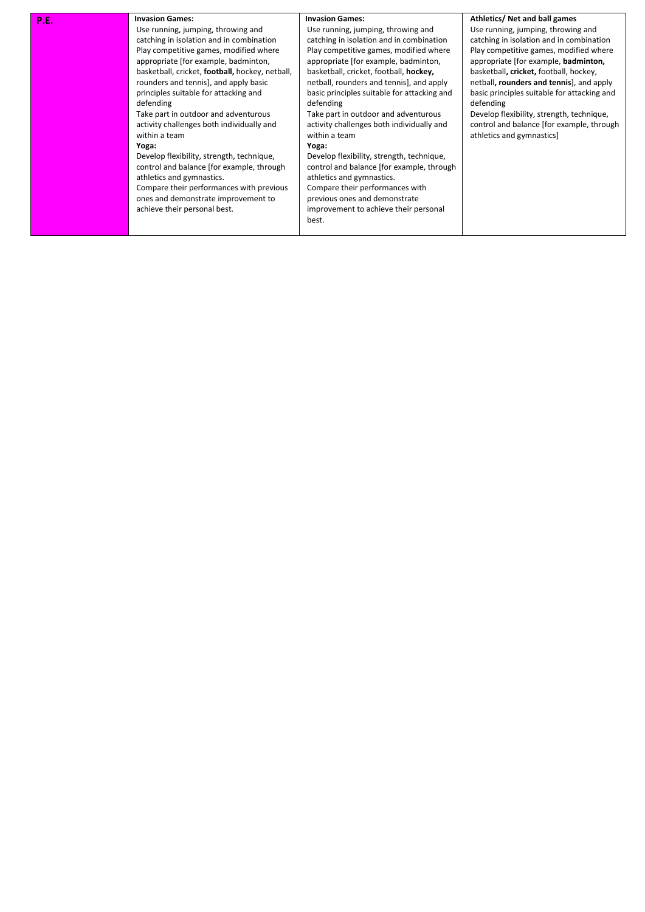| <b>P.E.</b> | <b>Invasion Games:</b>                          | <b>Invasion Games:</b>                      | Athletics/ Net and ball games               |
|-------------|-------------------------------------------------|---------------------------------------------|---------------------------------------------|
|             | Use running, jumping, throwing and              | Use running, jumping, throwing and          | Use running, jumping, throwing and          |
|             | catching in isolation and in combination        | catching in isolation and in combination    | catching in isolation and in combination    |
|             | Play competitive games, modified where          | Play competitive games, modified where      | Play competitive games, modified where      |
|             | appropriate [for example, badminton,            | appropriate [for example, badminton,        | appropriate [for example, badminton,        |
|             | basketball, cricket, football, hockey, netball, | basketball, cricket, football, hockey,      | basketball, cricket, football, hockey,      |
|             | rounders and tennis], and apply basic           | netball, rounders and tennis], and apply    | netball, rounders and tennis], and apply    |
|             | principles suitable for attacking and           | basic principles suitable for attacking and | basic principles suitable for attacking and |
|             | defending                                       | defending                                   | defending                                   |
|             | Take part in outdoor and adventurous            | Take part in outdoor and adventurous        | Develop flexibility, strength, technique,   |
|             | activity challenges both individually and       | activity challenges both individually and   | control and balance [for example, through   |
|             | within a team                                   | within a team                               | athletics and gymnastics]                   |
|             | Yoga:                                           | Yoga:                                       |                                             |
|             | Develop flexibility, strength, technique,       | Develop flexibility, strength, technique,   |                                             |
|             | control and balance [for example, through       | control and balance [for example, through   |                                             |
|             | athletics and gymnastics.                       | athletics and gymnastics.                   |                                             |
|             | Compare their performances with previous        | Compare their performances with             |                                             |
|             | ones and demonstrate improvement to             | previous ones and demonstrate               |                                             |
|             | achieve their personal best.                    | improvement to achieve their personal       |                                             |
|             |                                                 | best.                                       |                                             |
|             |                                                 |                                             |                                             |